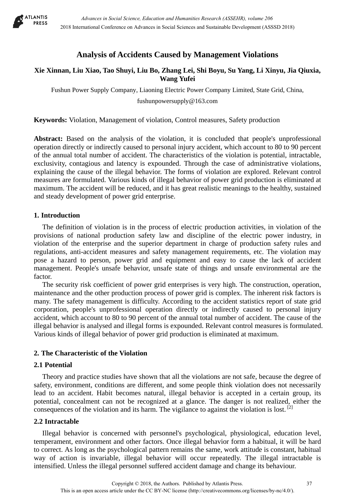

# **Analysis of Accidents Caused by Management Violations**

# **Xie Xinnan, Liu Xiao, Tao Shuyi, Liu Bo, Zhang Lei, Shi Boyu, Su Yang, Li Xinyu, Jia Qiuxia, Wang Yufei**

Fushun Power Supply Company, Liaoning Electric Power Company Limited, State Grid, China,

fushunpowersupply@163.com

**Keywords:** Violation, Management of violation, Control measures, Safety production

**Abstract:** Based on the analysis of the violation, it is concluded that people's unprofessional operation directly or indirectly caused to personal injury accident, which account to 80 to 90 percent of the annual total number of accident. The characteristics of the violation is potential, intractable, exclusivity, contagious and latency is expounded. Through the case of administrative violations, explaining the cause of the illegal behavior. The forms of violation are explored. Relevant control measures are formulated. Various kinds of illegal behavior of power grid production is eliminated at maximum. The accident will be reduced, and it has great realistic meanings to the healthy, sustained and steady development of power grid enterprise.

# **1. Introduction**

The definition of violation is in the process of electric production activities, in violation of the provisions of national production safety law and discipline of the electric power industry, in violation of the enterprise and the superior department in charge of production safety rules and regulations, anti-accident measures and safety management requirements, etc. The violation may pose a hazard to person, power grid and equipment and easy to cause the lack of accident management. People's unsafe behavior, unsafe state of things and unsafe environmental are the factor.

The security risk coefficient of power grid enterprises is very high. The construction, operation, maintenance and the other production process of power grid is complex. The inherent risk factors is many. The safety management is difficulty. According to the accident statistics report of state grid corporation, people's unprofessional operation directly or indirectly caused to personal injury accident, which account to 80 to 90 percent of the annual total number of accident. The cause of the illegal behavior is analysed and illegal forms is expounded. Relevant control measures is formulated. Various kinds of illegal behavior of power grid production is eliminated at maximum.

# **2. The Characteristic of the Violation**

# **2.1 Potential**

Theory and practice studies have shown that all the violations are not safe, because the degree of safety, environment, conditions are different, and some people think violation does not necessarily lead to an accident. Habit becomes natural, illegal behavior is accepted in a certain group, its potential, concealment can not be recognized at a glance. The danger is not realized, either the consequences of the violation and its harm. The vigilance to against the violation is lost.<sup>[2]</sup>

# **2.2 Intractable**

Illegal behavior is concerned with personnel's psychological, physiological, education level, temperament, environment and other factors. Once illegal behavior form a habitual, it will be hard to correct. As long as the psychological pattern remains the same, work attitude is constant, habitual way of action is invariable, illegal behavior will occur repeatedly. The illegal intractable is intensified. Unless the illegal personnel suffered accident damage and change its behaviour.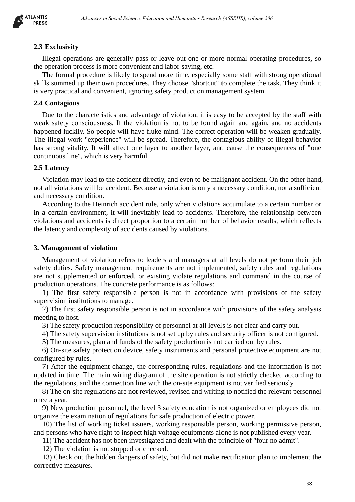

### **2.3 Exclusivity**

Illegal operations are generally pass or leave out one or more normal operating procedures, so the operation process is more convenient and labor-saving, etc.

The formal procedure is likely to spend more time, especially some staff with strong operational skills summed up their own procedures. They choose "shortcut" to complete the task. They think it is very practical and convenient, ignoring safety production management system.

### **2.4 Contagious**

Due to the characteristics and advantage of violation, it is easy to be accepted by the staff with weak safety consciousness. If the violation is not to be found again and again, and no accidents happened luckily. So people will have fluke mind. The correct operation will be weaken gradually. The illegal work "experience" will be spread. Therefore, the contagious ability of illegal behavior has strong vitality. It will affect one layer to another layer, and cause the consequences of "one continuous line", which is very harmful. *Advances in Social Science, Education and Humanities Research (43382HR), where 266*<br>tions are generally pass or leave our one or none normal or<br>permission and the silective second intervals and the search (ASSEHR), where<br>

### **2.5 Latency**

Violation may lead to the accident directly, and even to be malignant accident. On the other hand, not all violations will be accident. Because a violation is only a necessary condition, not a sufficient and necessary condition.

According to the Heinrich accident rule, only when violations accumulate to a certain number or in a certain environment, it will inevitably lead to accidents. Therefore, the relationship between violations and accidents is direct proportion to a certain number of behavior results, which reflects the latency and complexity of accidents caused by violations.

#### **3. Management of violation**

Management of violation refers to leaders and managers at all levels do not perform their job safety duties. Safety management requirements are not implemented, safety rules and regulations are not supplemented or enforced, or existing violate regulations and command in the course of production operations. The concrete performance is as follows:

1) The first safety responsible person is not in accordance with provisions of the safety supervision institutions to manage.

2) The first safety responsible person is not in accordance with provisions of the safety analysis meeting to host.

3) The safety production responsibility of personnel at all levels is not clear and carry out.

4) The safety supervision institutions is not set up by rules and security officer is not configured.

5) The measures, plan and funds of the safety production is not carried out by rules.

6) On-site safety protection device, safety instruments and personal protective equipment are not configured by rules.

7) After the equipment change, the corresponding rules, regulations and the information is not updated in time. The main wiring diagram of the site operation is not strictly checked according to the regulations, and the connection line with the on-site equipment is not verified seriously.

8) The on-site regulations are not reviewed, revised and writing to notified the relevant personnel once a year.

9) New production personnel, the level 3 safety education is not organized or employees did not organize the examination of regulations for safe production of electric power.

10) The list of working ticket issuers, working responsible person, working permissive person, and persons who have right to inspect high voltage equipments alone is not published every year.

11) The accident has not been investigated and dealt with the principle of "four no admit".

12) The violation is not stopped or checked.

13) Check out the hidden dangers of safety, but did not make rectification plan to implement the corrective measures.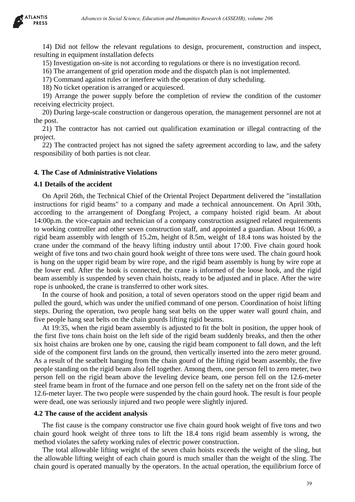

14) Did not fellow the relevant regulations to design, procurement, construction and inspect, resulting in equipment installation defects

15) Investigation on-site is not according to regulations or there is no investigation record.

16) The arrangement of grid operation mode and the dispatch plan is not implemented.

17) Command against rules or interfere with the operation of duty scheduling.

18) No ticket operation is arranged or acquiesced.

19) Arrange the power supply before the completion of review the condition of the customer receiving electricity project.

20) During large-scale construction or dangerous operation, the management personnel are not at the post.

21) The contractor has not carried out qualification examination or illegal contracting of the project.

22) The contracted project has not signed the safety agreement according to law, and the safety responsibility of both parties is not clear.

#### **4. The Case of Administrative Violations**

#### **4.1 Details of the accident**

On April 26th, the Technical Chief of the Oriental Project Department delivered the "installation instructions for rigid beams" to a company and made a technical announcement. On April 30th, according to the arrangement of Dongfang Project, a company hoisted rigid beam. At about 14:00p.m. the vice-captain and technician of a company construction assigned related requirements to working controller and other seven construction staff, and appointed a guardian. About 16:00, a rigid beam assembly with length of 15.2m, height of 8.5m, weight of 18.4 tons was hoisted by the crane under the command of the heavy lifting industry until about 17:00. Five chain gourd hook weight of five tons and two chain gourd hook weight of three tons were used. The chain gourd hook is hung on the upper rigid beam by wire rope, and the rigid beam assembly is hung by wire rope at the lower end. After the hook is connected, the crane is informed of the loose hook, and the rigid beam assembly is suspended by seven chain hoists, ready to be adjusted and in place. After the wire rope is unhooked, the crane is transferred to other work sites. *Advances in Social Science, Education in the Hostings*, procurement, construction and inspired in the relation of the celestion of the departament in such and the social Science of the departament in such and the social o

In the course of hook and position, a total of seven operators stood on the upper rigid beam and pulled the gourd, which was under the unified command of one person. Coordination of hoist lifting steps. During the operation, two people hang seat belts on the upper water wall gourd chain, and five people hang seat belts on the chain gourds lifting rigid beams.

At 19:35, when the rigid beam assembly is adjusted to fit the bolt in position, the upper hook of the first five tons chain hoist on the left side of the rigid beam suddenly breaks, and then the other six hoist chains are broken one by one, causing the rigid beam component to fall down, and the left side of the component first lands on the ground, then vertically inserted into the zero meter ground. As a result of the seatbelt hanging from the chain gourd of the lifting rigid beam assembly, the five people standing on the rigid beam also fell together. Among them, one person fell to zero meter, two person fell on the rigid beam above the leveling device beam, one person fell on the 12.6-meter steel frame beam in front of the furnace and one person fell on the safety net on the front side of the 12.6-meter layer. The two people were suspended by the chain gourd hook. The result is four people were dead, one was seriously injured and two people were slightly injured.

#### **4.2 The cause of the accident analysis**

The fist cause is the company constructor use five chain gourd hook weight of five tons and two chain gourd hook weight of three tons to lift the 18.4 tons rigid beam assembly is wrong, the method violates the safety working rules of electric power construction.

The total allowable lifting weight of the seven chain hoists exceeds the weight of the sling, but the allowable lifting weight of each chain gourd is much smaller than the weight of the sling. The chain gourd is operated manually by the operators. In the actual operation, the equilibrium force of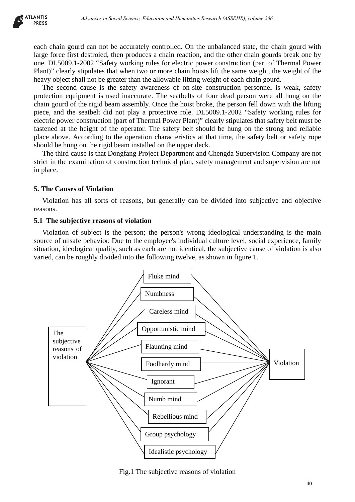

each chain gourd can not be accurately controlled. On the unbalanced state, the chain gourd with large force first destroied, then produces a chain reaction, and the other chain gourds break one by one. DL5009.1-2002 "Safety working rules for electric power construction (part of Thermal Power Plant)" clearly stipulates that when two or more chain hoists lift the same weight, the weight of the heavy object shall not be greater than the allowable lifting weight of each chain gourd.

The second cause is the safety awareness of on-site construction personnel is weak, safety protection equipment is used inaccurate. The seatbelts of four dead person were all hung on the chain gourd of the rigid beam assembly. Once the hoist broke, the person fell down with the lifting piece, and the seatbelt did not play a protective role. DL5009.1-2002 "Safety working rules for electric power construction (part of Thermal Power Plant)" clearly stipulates that safety belt must be fastened at the height of the operator. The safety belt should be hung on the strong and reliable place above. According to the operation characteristics at that time, the safety belt or safety rope should be hung on the rigid beam installed on the upper deck.

The third cause is that Dongfang Project Department and Chengda Supervision Company are not strict in the examination of construction technical plan, safety management and supervision are not in place.

# **5. The Causes of Violation**

Violation has all sorts of reasons, but generally can be divided into subjective and objective reasons.

# **5.1 The subjective reasons of violation**

Violation of subject is the person; the person's wrong ideological understanding is the main source of unsafe behavior. Due to the employee's individual culture level, social experience, family situation, ideological quality, such as each are not identical, the subjective cause of violation is also varied, can be roughly divided into the following twelve, as shown in figure 1.



Fig.1 The subjective reasons of violation